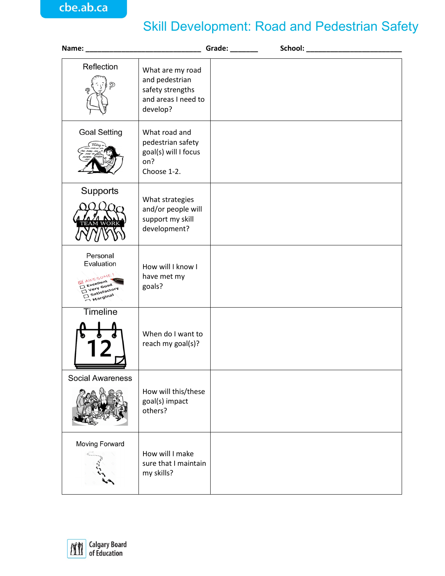## Skill Development: Road and Pedestrian Safety

|                                                                                                  |                                                                                           | Grade: |  |
|--------------------------------------------------------------------------------------------------|-------------------------------------------------------------------------------------------|--------|--|
| Reflection<br><u>බ</u>                                                                           | What are my road<br>and pedestrian<br>safety strengths<br>and areas I need to<br>develop? |        |  |
| <b>Goal Setting</b><br>(Today                                                                    | What road and<br>pedestrian safety<br>goal(s) will I focus<br>on?<br>Choose 1-2.          |        |  |
| Supports                                                                                         | What strategies<br>and/or people will<br>support my skill<br>development?                 |        |  |
| Personal<br>Evaluation<br><b>MAWESOME!</b><br>Excellent<br>Very Good<br>Satisfactory<br>Marginal | How will I know I<br>have met my<br>goals?                                                |        |  |
| Timeline                                                                                         | When do I want to<br>reach my goal(s)?                                                    |        |  |
| <b>Social Awareness</b>                                                                          | How will this/these<br>goal(s) impact<br>others?                                          |        |  |
| Moving Forward                                                                                   | How will I make<br>sure that I maintain<br>my skills?                                     |        |  |